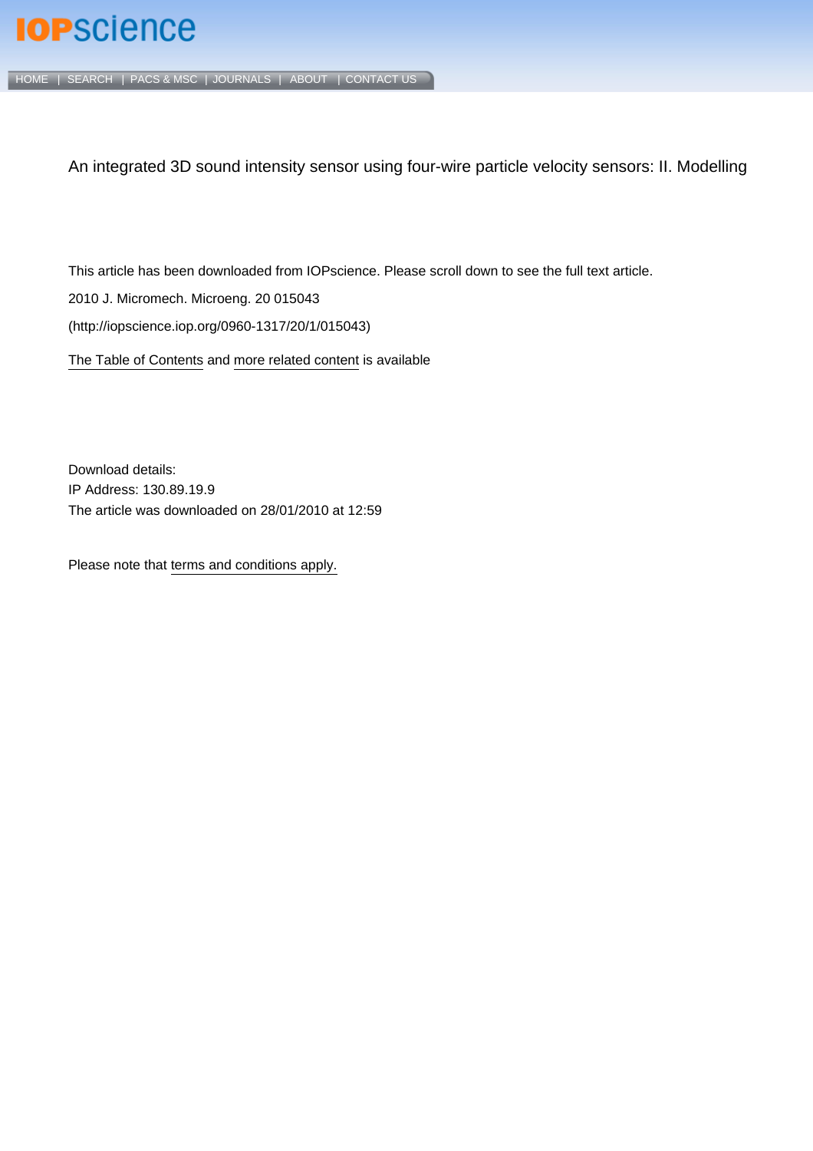# **IOP**science

[HOME](http://iopscience.iop.org/) | [SEARCH](http://iopscience.iop.org/search) | [PACS & MSC](http://iopscience.iop.org/pacs) | [JOURNALS](http://iopscience.iop.org/journals) | [ABOUT](http://iopscience.iop.org/page/aboutioppublishing) | [CONTACT US](http://iopscience.iop.org/contact)

An integrated 3D sound intensity sensor using four-wire particle velocity sensors: II. Modelling

This article has been downloaded from IOPscience. Please scroll down to see the full text article.

2010 J. Micromech. Microeng. 20 015043

(http://iopscience.iop.org/0960-1317/20/1/015043)

[The Table of Contents](http://iopscience.iop.org/0960-1317/20/1) and [more related content](http://iopscience.iop.org/0960-1317/20/1/015043/related) is available

Download details: IP Address: 130.89.19.9 The article was downloaded on 28/01/2010 at 12:59

Please note that [terms and conditions apply.](http://www.iop.org/Terms_&_Conditions)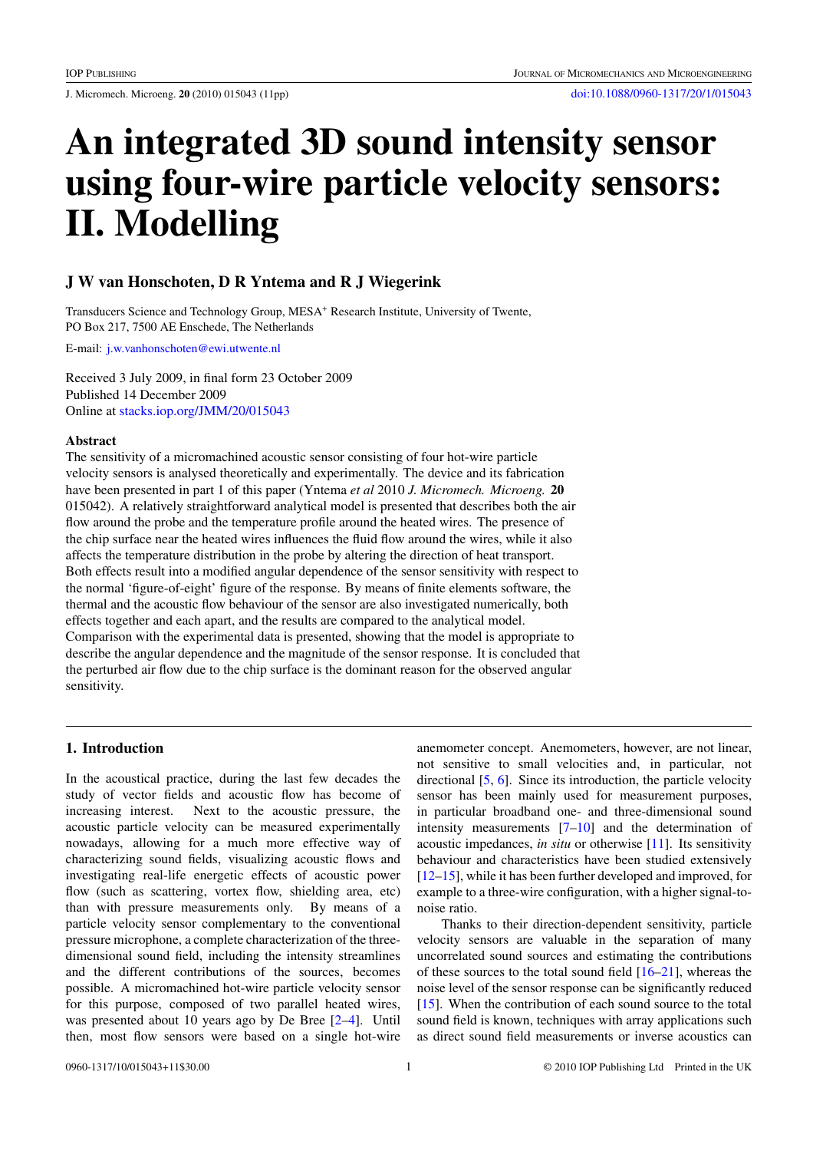J. Micromech. Microeng. **20** (2010) 015043 (11pp) [doi:10.1088/0960-1317/20/1/015043](http://dx.doi.org/10.1088/0960-1317/20/1/015043)

# **An integrated 3D sound intensity sensor using four-wire particle velocity sensors: II. Modelling**

# **J W van Honschoten, D R Yntema and R J Wiegerink**

Transducers Science and Technology Group, MESA+ Research Institute, University of Twente, PO Box 217, 7500 AE Enschede, The Netherlands

E-mail: [j.w.vanhonschoten@ewi.utwente.nl](mailto:j.w.vanhonschoten@ewi.utwente.nl)

Received 3 July 2009, in final form 23 October 2009 Published 14 December 2009 Online at [stacks.iop.org/JMM/20/015043](http://stacks.iop.org/JMM/20/015043)

#### **Abstract**

The sensitivity of a micromachined acoustic sensor consisting of four hot-wire particle velocity sensors is analysed theoretically and experimentally. The device and its fabrication have been presented in part 1 of this paper (Yntema *et al* 2010 *J. Micromech. Microeng.* **20** 015042). A relatively straightforward analytical model is presented that describes both the air flow around the probe and the temperature profile around the heated wires. The presence of the chip surface near the heated wires influences the fluid flow around the wires, while it also affects the temperature distribution in the probe by altering the direction of heat transport. Both effects result into a modified angular dependence of the sensor sensitivity with respect to the normal 'figure-of-eight' figure of the response. By means of finite elements software, the thermal and the acoustic flow behaviour of the sensor are also investigated numerically, both effects together and each apart, and the results are compared to the analytical model. Comparison with the experimental data is presented, showing that the model is appropriate to describe the angular dependence and the magnitude of the sensor response. It is concluded that the perturbed air flow due to the chip surface is the dominant reason for the observed angular sensitivity.

## **1. Introduction**

In the acoustical practice, during the last few decades the study of vector fields and acoustic flow has become of increasing interest. Next to the acoustic pressure, the acoustic particle velocity can be measured experimentally nowadays, allowing for a much more effective way of characterizing sound fields, visualizing acoustic flows and investigating real-life energetic effects of acoustic power flow (such as scattering, vortex flow, shielding area, etc) than with pressure measurements only. By means of a particle velocity sensor complementary to the conventional pressure microphone, a complete characterization of the threedimensional sound field, including the intensity streamlines and the different contributions of the sources, becomes possible. A micromachined hot-wire particle velocity sensor for this purpose, composed of two parallel heated wires, was presented about 10 years ago by De Bree [\[2–4](#page-11-0)]. Until then, most flow sensors were based on a single hot-wire

anemometer concept. Anemometers, however, are not linear, not sensitive to small velocities and, in particular, not directional [\[5,](#page-11-0) [6](#page-11-0)]. Since its introduction, the particle velocity sensor has been mainly used for measurement purposes, in particular broadband one- and three-dimensional sound intensity measurements  $[7-10]$  and the determination of acoustic impedances, *in situ* or otherwise [\[11\]](#page-11-0). Its sensitivity behaviour and characteristics have been studied extensively [\[12–15](#page-11-0)], while it has been further developed and improved, for example to a three-wire configuration, with a higher signal-tonoise ratio.

Thanks to their direction-dependent sensitivity, particle velocity sensors are valuable in the separation of many uncorrelated sound sources and estimating the contributions of these sources to the total sound field [\[16–21\]](#page-11-0), whereas the noise level of the sensor response can be significantly reduced [\[15](#page-11-0)]. When the contribution of each sound source to the total sound field is known, techniques with array applications such as direct sound field measurements or inverse acoustics can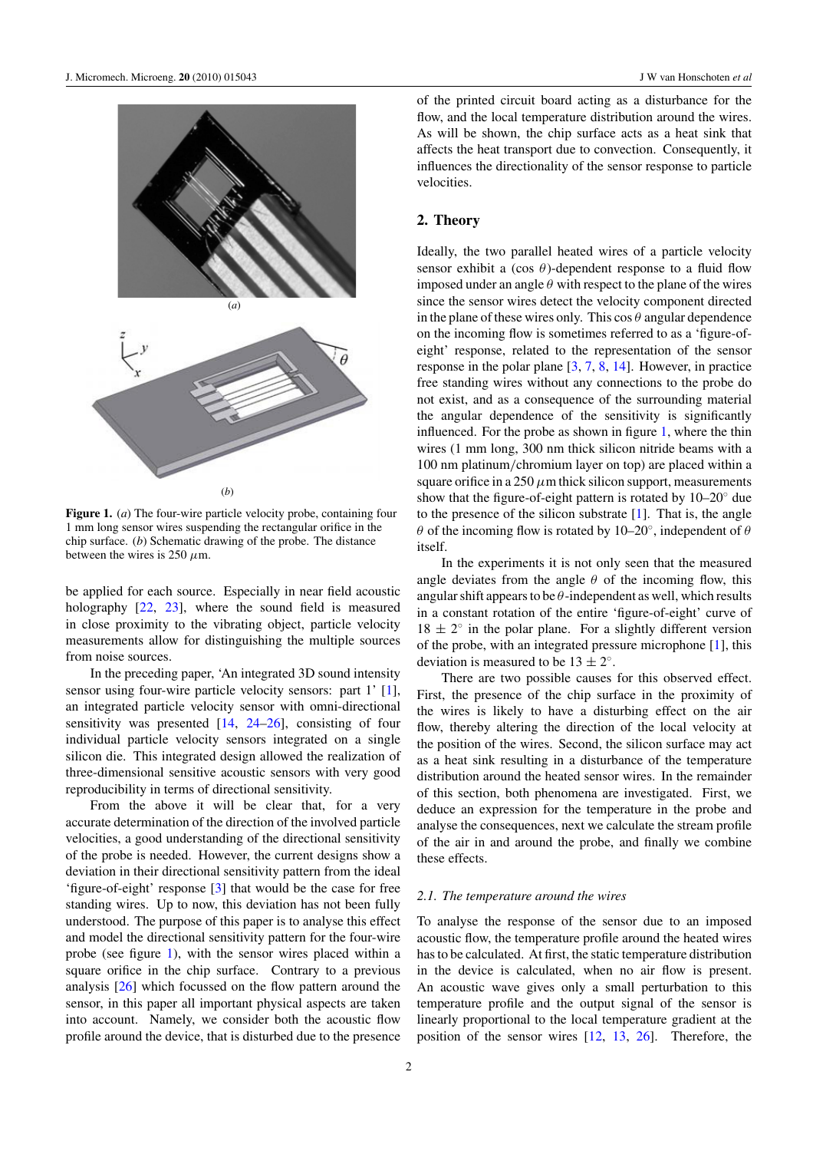<span id="page-2-0"></span>

**Figure 1.** (*a*) The four-wire particle velocity probe, containing four 1 mm long sensor wires suspending the rectangular orifice in the chip surface. (*b*) Schematic drawing of the probe. The distance between the wires is 250  $\mu$ m.

be applied for each source. Especially in near field acoustic holography [\[22](#page-11-0), [23\]](#page-11-0), where the sound field is measured in close proximity to the vibrating object, particle velocity measurements allow for distinguishing the multiple sources from noise sources.

In the preceding paper, 'An integrated 3D sound intensity sensor using four-wire particle velocity sensors: part 1' [\[1](#page-11-0)], an integrated particle velocity sensor with omni-directional sensitivity was presented [\[14,](#page-11-0) [24–26](#page-11-0)], consisting of four individual particle velocity sensors integrated on a single silicon die. This integrated design allowed the realization of three-dimensional sensitive acoustic sensors with very good reproducibility in terms of directional sensitivity.

From the above it will be clear that, for a very accurate determination of the direction of the involved particle velocities, a good understanding of the directional sensitivity of the probe is needed. However, the current designs show a deviation in their directional sensitivity pattern from the ideal 'figure-of-eight' response [\[3](#page-11-0)] that would be the case for free standing wires. Up to now, this deviation has not been fully understood. The purpose of this paper is to analyse this effect and model the directional sensitivity pattern for the four-wire probe (see figure 1), with the sensor wires placed within a square orifice in the chip surface. Contrary to a previous analysis [\[26\]](#page-11-0) which focussed on the flow pattern around the sensor, in this paper all important physical aspects are taken into account. Namely, we consider both the acoustic flow profile around the device, that is disturbed due to the presence of the printed circuit board acting as a disturbance for the flow, and the local temperature distribution around the wires. As will be shown, the chip surface acts as a heat sink that affects the heat transport due to convection. Consequently, it influences the directionality of the sensor response to particle velocities.

## **2. Theory**

Ideally, the two parallel heated wires of a particle velocity sensor exhibit a (cos  $\theta$ )-dependent response to a fluid flow imposed under an angle  $\theta$  with respect to the plane of the wires since the sensor wires detect the velocity component directed in the plane of these wires only. This  $\cos \theta$  angular dependence on the incoming flow is sometimes referred to as a 'figure-ofeight' response, related to the representation of the sensor response in the polar plane [\[3](#page-11-0), [7](#page-11-0), [8](#page-11-0), [14](#page-11-0)]. However, in practice free standing wires without any connections to the probe do not exist, and as a consequence of the surrounding material the angular dependence of the sensitivity is significantly influenced. For the probe as shown in figure 1, where the thin wires (1 mm long, 300 nm thick silicon nitride beams with a 100 nm platinum*/*chromium layer on top) are placed within a square orifice in a 250  $\mu$ m thick silicon support, measurements show that the figure-of-eight pattern is rotated by  $10-20°$  due to the presence of the silicon substrate  $[1]$  $[1]$ . That is, the angle *θ* of the incoming flow is rotated by 10–20◦, independent of *θ* itself.

In the experiments it is not only seen that the measured angle deviates from the angle  $\theta$  of the incoming flow, this angular shift appears to be *θ*-independent as well, which results in a constant rotation of the entire 'figure-of-eight' curve of  $18 \pm 2^\circ$  in the polar plane. For a slightly different version of the probe, with an integrated pressure microphone [\[1](#page-11-0)], this deviation is measured to be  $13 \pm 2^\circ$ .

There are two possible causes for this observed effect. First, the presence of the chip surface in the proximity of the wires is likely to have a disturbing effect on the air flow, thereby altering the direction of the local velocity at the position of the wires. Second, the silicon surface may act as a heat sink resulting in a disturbance of the temperature distribution around the heated sensor wires. In the remainder of this section, both phenomena are investigated. First, we deduce an expression for the temperature in the probe and analyse the consequences, next we calculate the stream profile of the air in and around the probe, and finally we combine these effects.

#### *2.1. The temperature around the wires*

To analyse the response of the sensor due to an imposed acoustic flow, the temperature profile around the heated wires has to be calculated. At first, the static temperature distribution in the device is calculated, when no air flow is present. An acoustic wave gives only a small perturbation to this temperature profile and the output signal of the sensor is linearly proportional to the local temperature gradient at the position of the sensor wires [\[12,](#page-11-0) [13](#page-11-0), [26\]](#page-11-0). Therefore, the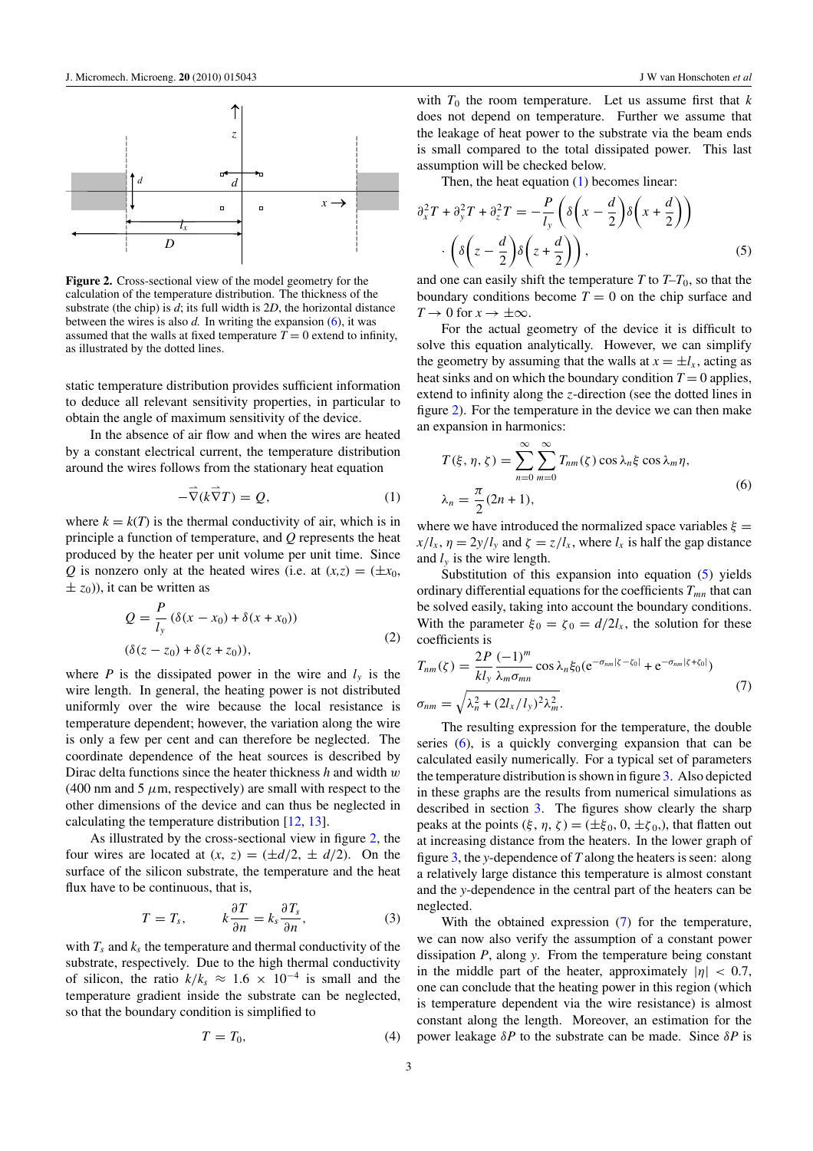<span id="page-3-0"></span>

**Figure 2.** Cross-sectional view of the model geometry for the calculation of the temperature distribution. The thickness of the substrate (the chip) is *d*; its full width is 2*D*, the horizontal distance between the wires is also  $d$ . In writing the expansion  $(6)$ , it was assumed that the walls at fixed temperature  $T = 0$  extend to infinity, as illustrated by the dotted lines.

static temperature distribution provides sufficient information to deduce all relevant sensitivity properties, in particular to obtain the angle of maximum sensitivity of the device.

In the absence of air flow and when the wires are heated by a constant electrical current, the temperature distribution around the wires follows from the stationary heat equation

$$
-\vec{\nabla}(k\vec{\nabla}T) = Q,\tag{1}
$$

where  $k = k(T)$  is the thermal conductivity of air, which is in principle a function of temperature, and *Q* represents the heat produced by the heater per unit volume per unit time. Since *Q* is nonzero only at the heated wires (i.e. at  $(x,z) = (\pm x_0,$  $\pm z_0$ )), it can be written as

$$
Q = \frac{P}{l_y} (\delta(x - x_0) + \delta(x + x_0))
$$
  

$$
(\delta(z - z_0) + \delta(z + z_0)),
$$
 (2)

where *P* is the dissipated power in the wire and  $l<sub>v</sub>$  is the wire length. In general, the heating power is not distributed uniformly over the wire because the local resistance is temperature dependent; however, the variation along the wire is only a few per cent and can therefore be neglected. The coordinate dependence of the heat sources is described by Dirac delta functions since the heater thickness *h* and width *w*  $(400 \text{ nm}$  and  $5 \mu \text{m}$ , respectively) are small with respect to the other dimensions of the device and can thus be neglected in calculating the temperature distribution [\[12,](#page-11-0) [13\]](#page-11-0).

As illustrated by the cross-sectional view in figure 2, the four wires are located at  $(x, z) = (\pm d/2, \pm d/2)$ . On the surface of the silicon substrate, the temperature and the heat flux have to be continuous, that is,

$$
T = T_s, \qquad k \frac{\partial T}{\partial n} = k_s \frac{\partial T_s}{\partial n}, \qquad (3)
$$

with  $T_s$  and  $k_s$  the temperature and thermal conductivity of the substrate, respectively. Due to the high thermal conductivity of silicon, the ratio  $k/k_s \approx 1.6 \times 10^{-4}$  is small and the temperature gradient inside the substrate can be neglected, so that the boundary condition is simplified to

$$
T = T_0,\t\t(4)
$$

with  $T_0$  the room temperature. Let us assume first that  $k$ does not depend on temperature. Further we assume that the leakage of heat power to the substrate via the beam ends is small compared to the total dissipated power. This last assumption will be checked below.

Then, the heat equation (1) becomes linear:

$$
\partial_x^2 T + \partial_y^2 T + \partial_z^2 T = -\frac{P}{l_y} \left( \delta \left( x - \frac{d}{2} \right) \delta \left( x + \frac{d}{2} \right) \right) \cdot \left( \delta \left( z - \frac{d}{2} \right) \delta \left( z + \frac{d}{2} \right) \right),
$$
\n(5)

and one can easily shift the temperature  $T$  to  $T-T_0$ , so that the boundary conditions become  $T = 0$  on the chip surface and  $T \to 0$  for  $x \to \pm \infty$ .

For the actual geometry of the device it is difficult to solve this equation analytically. However, we can simplify the geometry by assuming that the walls at  $x = \pm l_x$ , acting as heat sinks and on which the boundary condition  $T = 0$  applies, extend to infinity along the *z*-direction (see the dotted lines in figure 2). For the temperature in the device we can then make an expansion in harmonics:

$$
T(\xi, \eta, \zeta) = \sum_{n=0}^{\infty} \sum_{m=0}^{\infty} T_{nm}(\zeta) \cos \lambda_n \xi \cos \lambda_m \eta,
$$
  

$$
\lambda_n = \frac{\pi}{2} (2n + 1),
$$
 (6)

where we have introduced the normalized space variables  $\xi =$  $x/l_x$ ,  $\eta = 2y/l_y$  and  $\zeta = z/l_x$ , where  $l_x$  is half the gap distance and  $l<sub>y</sub>$  is the wire length.

Substitution of this expansion into equation (5) yields ordinary differential equations for the coefficients  $T_{mn}$  that can be solved easily, taking into account the boundary conditions. With the parameter  $\xi_0 = \zeta_0 = d/2l_x$ , the solution for these coefficients is

$$
T_{nm}(\zeta) = \frac{2P}{kl_y} \frac{(-1)^m}{\lambda_m \sigma_{mn}} \cos \lambda_n \xi_0 (e^{-\sigma_{nm}|\zeta - \zeta_0|} + e^{-\sigma_{nm}|\zeta + \zeta_0|})
$$
  
\n
$$
\sigma_{nm} = \sqrt{\lambda_n^2 + (2l_x/l_y)^2 \lambda_m^2}.
$$
\n(7)

The resulting expression for the temperature, the double series (6), is a quickly converging expansion that can be calculated easily numerically. For a typical set of parameters the temperature distribution is shown in figure [3.](#page-4-0) Also depicted in these graphs are the results from numerical simulations as described in section [3.](#page-8-0) The figures show clearly the sharp peaks at the points  $(ξ, η, ζ) = (±ξ<sub>0</sub>, 0, ±ζ<sub>0</sub>),$  that flatten out at increasing distance from the heaters. In the lower graph of figure [3,](#page-4-0) the *y*-dependence of *T* along the heaters is seen: along a relatively large distance this temperature is almost constant and the *y*-dependence in the central part of the heaters can be neglected.

With the obtained expression (7) for the temperature, we can now also verify the assumption of a constant power dissipation *P*, along *y*. From the temperature being constant in the middle part of the heater, approximately  $|\eta| < 0.7$ , one can conclude that the heating power in this region (which is temperature dependent via the wire resistance) is almost constant along the length. Moreover, an estimation for the power leakage *δP* to the substrate can be made. Since *δP* is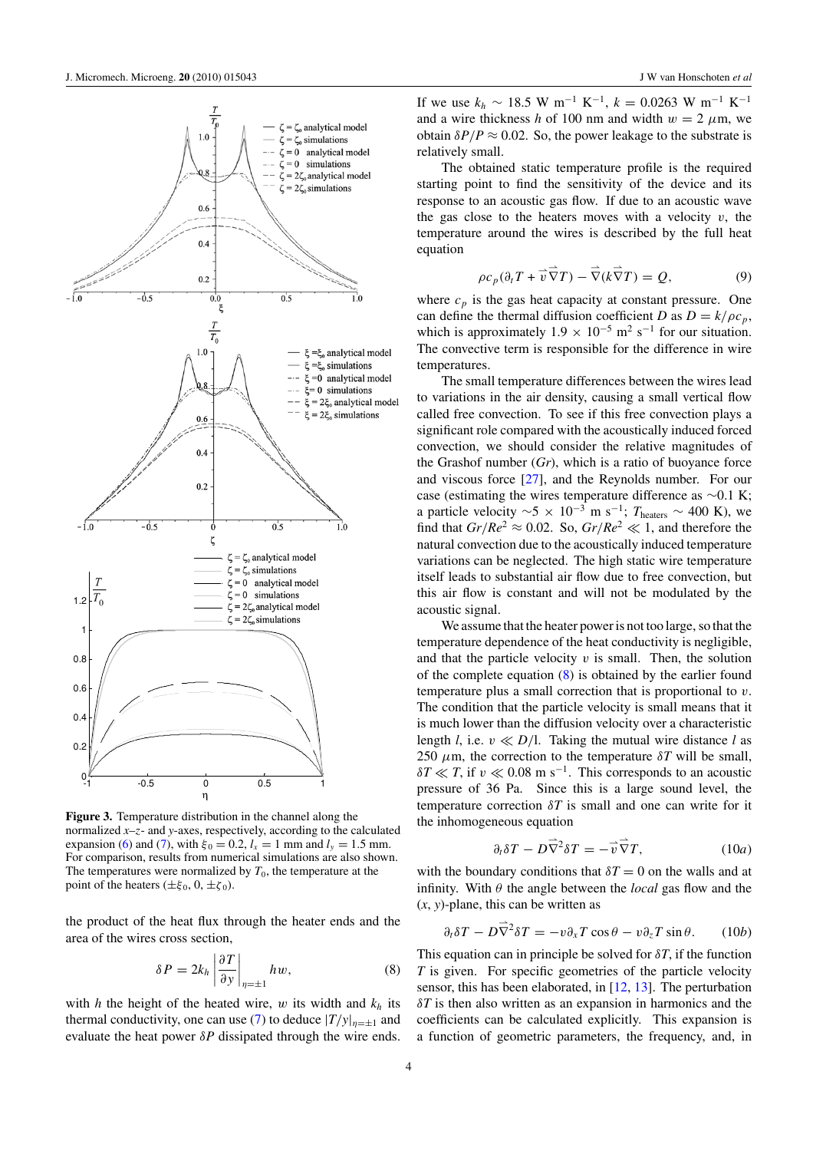<span id="page-4-0"></span>

**Figure 3.** Temperature distribution in the channel along the normalized *x*–*z*- and *y*-axes, respectively, according to the calculated expansion [\(6\)](#page-3-0) and [\(7\)](#page-3-0), with  $\xi_0 = 0.2$ ,  $l_x = 1$  mm and  $l_y = 1.5$  mm. For comparison, results from numerical simulations are also shown. The temperatures were normalized by  $T_0$ , the temperature at the point of the heaters ( $\pm \xi_0$ , 0,  $\pm \zeta_0$ ).

the product of the heat flux through the heater ends and the area of the wires cross section,

$$
\delta P = 2k_h \left| \frac{\partial T}{\partial y} \right|_{\eta = \pm 1} h w,\tag{8}
$$

with *h* the height of the heated wire, *w* its width and *k<sup>h</sup>* its thermal conductivity, one can use [\(7\)](#page-3-0) to deduce  $|T/y|_{n=+1}$  and evaluate the heat power  $\delta P$  dissipated through the wire ends. If we use  $k_h \sim 18.5 \text{ W m}^{-1} \text{ K}^{-1}$ ,  $k = 0.0263 \text{ W m}^{-1} \text{ K}^{-1}$ and a wire thickness *h* of 100 nm and width  $w = 2 \mu m$ , we obtain  $\delta P/P \approx 0.02$ . So, the power leakage to the substrate is relatively small.

The obtained static temperature profile is the required starting point to find the sensitivity of the device and its response to an acoustic gas flow. If due to an acoustic wave the gas close to the heaters moves with a velocity  $v$ , the temperature around the wires is described by the full heat equation

$$
\rho c_p(\partial_t T + \vec{v}\,\vec{\nabla}T) - \vec{\nabla}(k\vec{\nabla}T) = Q,\tag{9}
$$

where  $c_p$  is the gas heat capacity at constant pressure. One can define the thermal diffusion coefficient *D* as  $D = k/\rho c_p$ , which is approximately  $1.9 \times 10^{-5}$  m<sup>2</sup> s<sup>-1</sup> for our situation. The convective term is responsible for the difference in wire temperatures.

The small temperature differences between the wires lead to variations in the air density, causing a small vertical flow called free convection. To see if this free convection plays a significant role compared with the acoustically induced forced convection, we should consider the relative magnitudes of the Grashof number (*Gr*), which is a ratio of buoyance force and viscous force [\[27](#page-11-0)], and the Reynolds number. For our case (estimating the wires temperature difference as ∼0.1 K; a particle velocity  $\sim$ 5 × 10<sup>-3</sup> m s<sup>-1</sup>; *T*<sub>heaters</sub> ~ 400 K), we find that  $Gr/Re^2 \approx 0.02$ . So,  $Gr/Re^2 \ll 1$ , and therefore the natural convection due to the acoustically induced temperature variations can be neglected. The high static wire temperature itself leads to substantial air flow due to free convection, but this air flow is constant and will not be modulated by the acoustic signal.

We assume that the heater power is not too large, so that the temperature dependence of the heat conductivity is negligible, and that the particle velocity  $v$  is small. Then, the solution of the complete equation  $(8)$  is obtained by the earlier found temperature plus a small correction that is proportional to *v*. The condition that the particle velocity is small means that it is much lower than the diffusion velocity over a characteristic length *l*, i.e.  $v \ll D/l$ . Taking the mutual wire distance *l* as 250  $\mu$ m, the correction to the temperature  $\delta T$  will be small,  $\delta T \ll T$ , if *v*  $\ll 0.08$  m s<sup>-1</sup>. This corresponds to an acoustic pressure of 36 Pa. Since this is a large sound level, the temperature correction  $\delta T$  is small and one can write for it the inhomogeneous equation

$$
\partial_t \delta T - D \vec{\nabla}^2 \delta T = -\vec{v} \vec{\nabla} T, \qquad (10a)
$$

with the boundary conditions that  $\delta T = 0$  on the walls and at infinity. With *θ* the angle between the *local* gas flow and the (*x*, *y*)-plane, this can be written as

$$
\partial_t \delta T - D\vec{\nabla}^2 \delta T = -v \partial_x T \cos \theta - v \partial_z T \sin \theta. \qquad (10b)
$$

This equation can in principle be solved for  $\delta T$ , if the function *T* is given. For specific geometries of the particle velocity sensor, this has been elaborated, in [\[12](#page-11-0), [13](#page-11-0)]. The perturbation *δT* is then also written as an expansion in harmonics and the coefficients can be calculated explicitly. This expansion is a function of geometric parameters, the frequency, and, in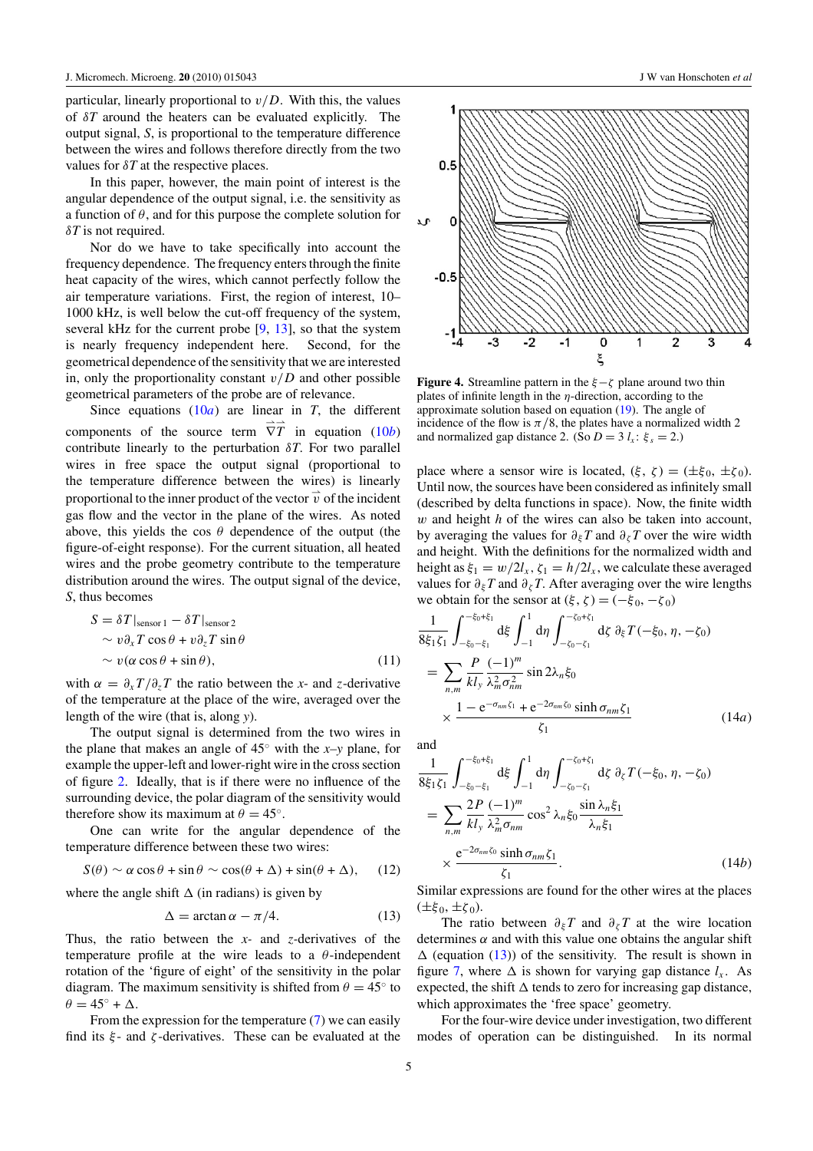<span id="page-5-0"></span>particular, linearly proportional to  $v/D$ . With this, the values of *δT* around the heaters can be evaluated explicitly. The output signal, *S*, is proportional to the temperature difference between the wires and follows therefore directly from the two values for *δT* at the respective places.

In this paper, however, the main point of interest is the angular dependence of the output signal, i.e. the sensitivity as a function of *θ*, and for this purpose the complete solution for *δT* is not required.

Nor do we have to take specifically into account the frequency dependence. The frequency enters through the finite heat capacity of the wires, which cannot perfectly follow the air temperature variations. First, the region of interest, 10– 1000 kHz, is well below the cut-off frequency of the system, several kHz for the current probe [\[9,](#page-11-0) [13\]](#page-11-0), so that the system is nearly frequency independent here. Second, for the geometrical dependence of the sensitivity that we are interested in, only the proportionality constant *v/D* and other possible geometrical parameters of the probe are of relevance.

Since equations  $(10a)$  $(10a)$  are linear in *T*, the different components of the source term  $\overrightarrow{\nabla}$  $\overrightarrow{T}$  in equation [\(10](#page-4-0)*b*) contribute linearly to the perturbation  $\delta T$ . For two parallel wires in free space the output signal (proportional to the temperature difference between the wires) is linearly proportional to the inner product of the vector  $\vec{v}$  of the incident gas flow and the vector in the plane of the wires. As noted above, this yields the cos  $\theta$  dependence of the output (the figure-of-eight response). For the current situation, all heated wires and the probe geometry contribute to the temperature distribution around the wires. The output signal of the device, *S*, thus becomes

$$
S = \delta T |_{\text{sensor 1}} - \delta T |_{\text{sensor 2}}\sim v \partial_x T \cos \theta + v \partial_z T \sin \theta\sim v (\alpha \cos \theta + \sin \theta),
$$
\n(11)

with  $\alpha = \partial_x T / \partial_z T$  the ratio between the *x*- and *z*-derivative of the temperature at the place of the wire, averaged over the length of the wire (that is, along *y*).

The output signal is determined from the two wires in the plane that makes an angle of 45◦ with the *x–y* plane, for example the upper-left and lower-right wire in the cross section of figure [2.](#page-3-0) Ideally, that is if there were no influence of the surrounding device, the polar diagram of the sensitivity would therefore show its maximum at  $\theta = 45^\circ$ .

One can write for the angular dependence of the temperature difference between these two wires:

$$
S(\theta) \sim \alpha \cos \theta + \sin \theta \sim \cos(\theta + \Delta) + \sin(\theta + \Delta), \quad (12)
$$

where the angle shift  $\Delta$  (in radians) is given by

$$
\Delta = \arctan \alpha - \pi/4. \tag{13}
$$

Thus, the ratio between the *x-* and *z-*derivatives of the temperature profile at the wire leads to a *θ*-independent rotation of the 'figure of eight' of the sensitivity in the polar diagram. The maximum sensitivity is shifted from  $\theta = 45^\circ$  to  $\theta = 45^\circ + \Delta$ .

From the expression for the temperature [\(7\)](#page-3-0) we can easily find its *ξ* - and *ζ* -derivatives. These can be evaluated at the



**Figure 4.** Streamline pattern in the *ξ*−*ζ* plane around two thin plates of infinite length in the *η*-direction, according to the approximate solution based on equation [\(19\)](#page-7-0). The angle of incidence of the flow is  $\pi/8$ , the plates have a normalized width 2 and normalized gap distance 2. (So  $D = 3$   $l_x$ :  $\xi_s = 2$ .)

place where a sensor wire is located,  $(\xi, \zeta) = (\pm \xi_0, \pm \zeta_0)$ . Until now, the sources have been considered as infinitely small (described by delta functions in space). Now, the finite width *w* and height *h* of the wires can also be taken into account, by averaging the values for  $\partial_{\xi}T$  and  $\partial_{\zeta}T$  over the wire width and height. With the definitions for the normalized width and height as  $\xi_1 = w/2l_x$ ,  $\zeta_1 = h/2l_x$ , we calculate these averaged values for  $\partial_{\xi}T$  and  $\partial_{\zeta}T$ . After averaging over the wire lengths we obtain for the sensor at  $(\xi, \zeta) = (-\xi_0, -\zeta_0)$ 

$$
\frac{1}{8\xi_1\xi_1} \int_{-\xi_0-\xi_1}^{-\xi_0+\xi_1} d\xi \int_{-1}^{1} d\eta \int_{-\zeta_0-\zeta_1}^{-\zeta_0+\zeta_1} d\zeta \ \partial_{\xi} T(-\xi_0, \eta, -\zeta_0)
$$
  
= 
$$
\sum_{n,m} \frac{P}{kl_y} \frac{(-1)^m}{\lambda_m^2 \sigma_{nm}^2} \sin 2\lambda_n \xi_0
$$
  

$$
\times \frac{1 - e^{-\sigma_{nm}\zeta_1} + e^{-2\sigma_{nm}\zeta_0} \sinh \sigma_{nm}\zeta_1}{\zeta_1}
$$
(14*a*)

and

$$
\frac{1}{8\xi_1\xi_1} \int_{-\xi_0-\xi_1}^{-\xi_0+\xi_1} d\xi \int_{-1}^{1} d\eta \int_{-\zeta_0-\zeta_1}^{-\zeta_0+\zeta_1} d\zeta \, \partial_{\zeta} T(-\xi_0, \eta, -\zeta_0) \n= \sum_{n,m} \frac{2P}{kl_y} \frac{(-1)^m}{\lambda_m^2 \sigma_{nm}} \cos^2 \lambda_n \xi_0 \frac{\sin \lambda_n \xi_1}{\lambda_n \xi_1} \n\times \frac{e^{-2\sigma_{nm}\xi_0} \sinh \sigma_{nm}\zeta_1}{\zeta_1}.
$$
\n(14b)

Similar expressions are found for the other wires at the places  $(±ξ<sub>0</sub>, ±ζ<sub>0</sub>)$ .

The ratio between  $\partial_{\xi}T$  and  $\partial_{\zeta}T$  at the wire location determines  $\alpha$  and with this value one obtains the angular shift  $\Delta$  (equation (13)) of the sensitivity. The result is shown in figure [7,](#page-6-0) where  $\Delta$  is shown for varying gap distance  $l_x$ . As expected, the shift  $\Delta$  tends to zero for increasing gap distance, which approximates the 'free space' geometry.

For the four-wire device under investigation, two different modes of operation can be distinguished. In its normal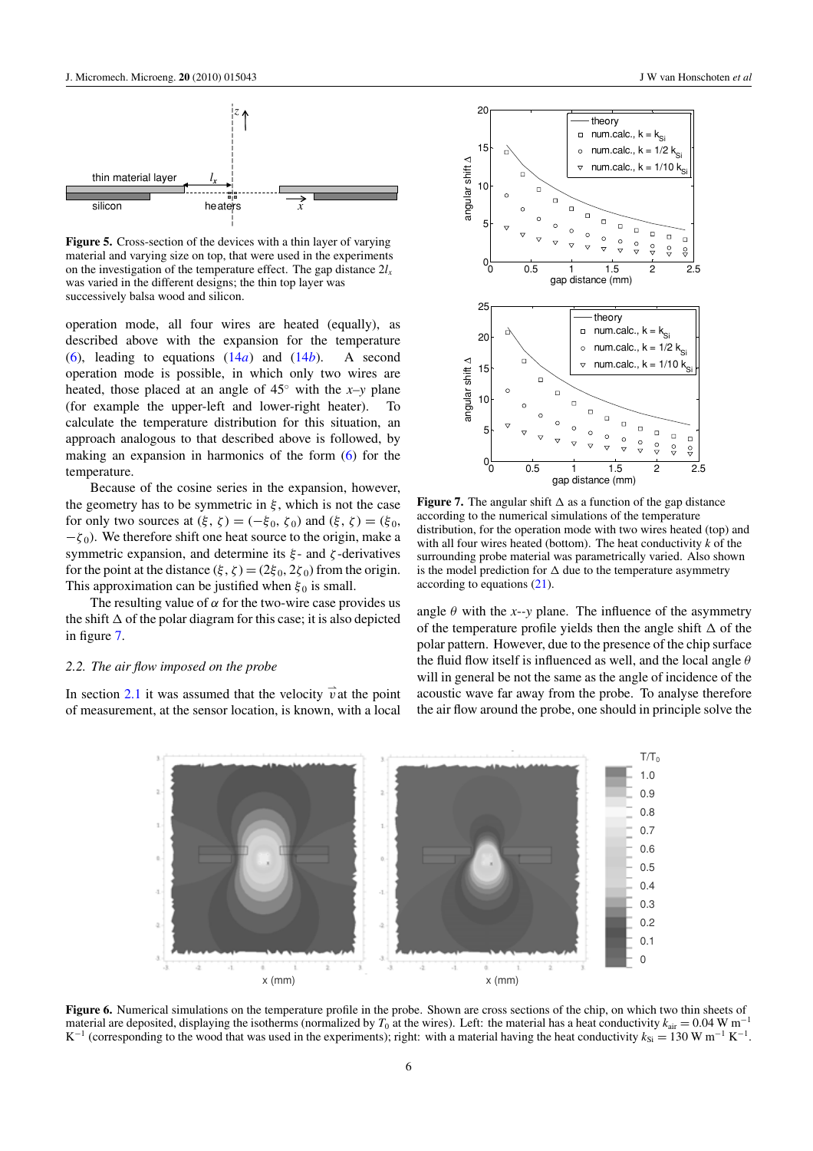<span id="page-6-0"></span>

**Figure 5.** Cross-section of the devices with a thin layer of varying material and varying size on top, that were used in the experiments on the investigation of the temperature effect. The gap distance  $2l<sub>x</sub>$ was varied in the different designs; the thin top layer was successively balsa wood and silicon.

operation mode, all four wires are heated (equally), as described above with the expansion for the temperature [\(6\)](#page-3-0), leading to equations  $(14a)$  $(14a)$  and  $(14b)$ . A second operation mode is possible, in which only two wires are heated, those placed at an angle of 45◦ with the *x–y* plane (for example the upper-left and lower-right heater). To calculate the temperature distribution for this situation, an approach analogous to that described above is followed, by making an expansion in harmonics of the form [\(6\)](#page-3-0) for the temperature.

Because of the cosine series in the expansion, however, the geometry has to be symmetric in  $\xi$ , which is not the case for only two sources at  $(\xi, \zeta) = (-\xi_0, \zeta_0)$  and  $(\xi, \zeta) = (\xi_0, \zeta_0)$  $-\zeta_0$ ). We therefore shift one heat source to the origin, make a symmetric expansion, and determine its *ξ* - and *ζ* -derivatives for the point at the distance  $(\xi, \zeta) = (2\xi_0, 2\zeta_0)$  from the origin. This approximation can be justified when  $\xi_0$  is small.

The resulting value of  $\alpha$  for the two-wire case provides us the shift  $\Delta$  of the polar diagram for this case; it is also depicted in figure 7.

#### *2.2. The air flow imposed on the probe*

In section [2.1](#page-2-0) it was assumed that the velocity  $\vec{v}$  at the point of measurement, at the sensor location, is known, with a local



**Figure 7.** The angular shift  $\Delta$  as a function of the gap distance according to the numerical simulations of the temperature distribution, for the operation mode with two wires heated (top) and with all four wires heated (bottom). The heat conductivity *k* of the surrounding probe material was parametrically varied. Also shown is the model prediction for  $\Delta$  due to the temperature asymmetry according to equations [\(21\)](#page-7-0).

angle  $\theta$  with the *x*--*y* plane. The influence of the asymmetry of the temperature profile yields then the angle shift  $\Delta$  of the polar pattern. However, due to the presence of the chip surface the fluid flow itself is influenced as well, and the local angle *θ* will in general be not the same as the angle of incidence of the acoustic wave far away from the probe. To analyse therefore the air flow around the probe, one should in principle solve the



**Figure 6.** Numerical simulations on the temperature profile in the probe. Shown are cross sections of the chip, on which two thin sheets of material are deposited, displaying the isotherms (normalized by  $T_0$  at the wires). Left: the material has a heat conductivity  $k_{\text{air}} = 0.04 \text{ W m}^{-1}$ K<sup>-1</sup> (corresponding to the wood that was used in the experiments); right: with a material having the heat conductivity  $k_{\text{Si}} = 130 \text{ W m}^{-1} \text{ K}^{-1}$ .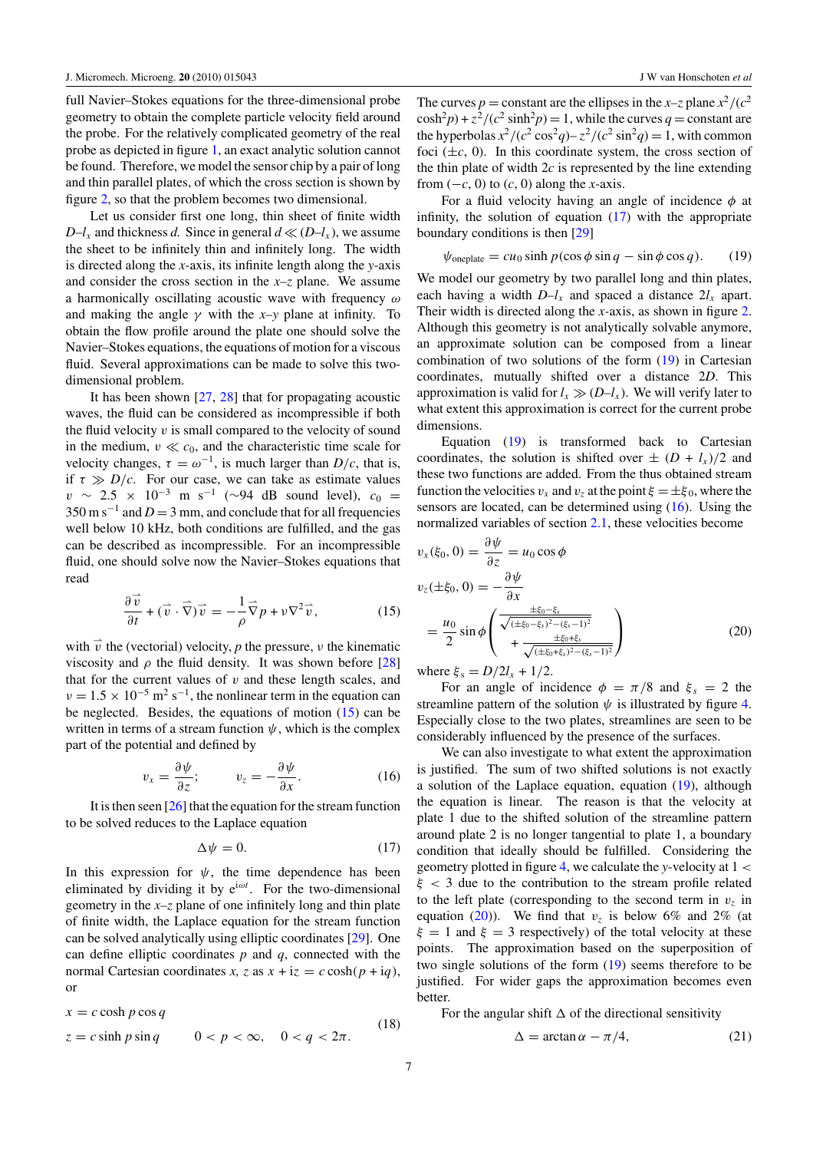<span id="page-7-0"></span>full Navier–Stokes equations for the three-dimensional probe geometry to obtain the complete particle velocity field around the probe. For the relatively complicated geometry of the real probe as depicted in figure [1,](#page-2-0) an exact analytic solution cannot be found. Therefore, we model the sensor chip by a pair of long and thin parallel plates, of which the cross section is shown by figure [2,](#page-3-0) so that the problem becomes two dimensional.

Let us consider first one long, thin sheet of finite width *D*–*l*<sub>*x*</sub> and thickness *d*. Since in general  $d \ll (D - l_x)$ , we assume the sheet to be infinitely thin and infinitely long. The width is directed along the *x*-axis, its infinite length along the *y*-axis and consider the cross section in the *x–z* plane. We assume a harmonically oscillating acoustic wave with frequency *ω* and making the angle  $\gamma$  with the *x*-y plane at infinity. To obtain the flow profile around the plate one should solve the Navier–Stokes equations, the equations of motion for a viscous fluid. Several approximations can be made to solve this twodimensional problem.

It has been shown [\[27](#page-11-0), [28](#page-11-0)] that for propagating acoustic waves, the fluid can be considered as incompressible if both the fluid velocity  $v$  is small compared to the velocity of sound in the medium,  $v \ll c_0$ , and the characteristic time scale for velocity changes,  $\tau = \omega^{-1}$ , is much larger than *D*/*c*, that is, if  $\tau \gg D/c$ . For our case, we can take as estimate values  $v \sim 2.5 \times 10^{-3}$  m s<sup>-1</sup> (∼94 dB sound level),  $c_0 =$  $350 \text{ m s}^{-1}$  and  $D = 3 \text{ mm}$ , and conclude that for all frequencies well below 10 kHz, both conditions are fulfilled, and the gas can be described as incompressible. For an incompressible fluid, one should solve now the Navier–Stokes equations that read

$$
\frac{\partial \vec{v}}{\partial t} + (\vec{v} \cdot \vec{\nabla}) \vec{v} = -\frac{1}{\rho} \vec{\nabla} p + \nu \nabla^2 \vec{v}, \qquad (15)
$$

with  $\vec{v}$  the (vectorial) velocity, *p* the pressure, *ν* the kinematic viscosity and  $\rho$  the fluid density. It was shown before [\[28\]](#page-11-0) that for the current values of  $v$  and these length scales, and  $\nu = 1.5 \times 10^{-5}$  m<sup>2</sup> s<sup>-1</sup>, the nonlinear term in the equation can be neglected. Besides, the equations of motion (15) can be written in terms of a stream function *ψ*, which is the complex part of the potential and defined by

$$
v_x = \frac{\partial \psi}{\partial z}; \qquad v_z = -\frac{\partial \psi}{\partial x}.
$$
 (16)

It is then seen  $[26]$  $[26]$  that the equation for the stream function to be solved reduces to the Laplace equation

$$
\Delta \psi = 0. \tag{17}
$$

In this expression for  $\psi$ , the time dependence has been eliminated by dividing it by e<sup>i</sup>*ωt* . For the two-dimensional geometry in the *x–z* plane of one infinitely long and thin plate of finite width, the Laplace equation for the stream function can be solved analytically using elliptic coordinates [\[29](#page-11-0)]. One can define elliptic coordinates *p* and *q*, connected with the normal Cartesian coordinates *x*, *z* as  $x + iz = c \cosh(p + iq)$ , or

$$
x = c \cosh p \cos q
$$
  
\n
$$
z = c \sinh p \sin q
$$
 0 < p < \infty, 0 < q < 2\pi. (18)

The curves  $p =$  constant are the ellipses in the *x*–*z* plane  $x^2/(c^2)$  $\cosh^2 p$  +  $\frac{z^2}{c^2}$  sinh<sup>2</sup> $p$  = 1, while the curves  $q =$  constant are the hyperbolas  $x^2/(c^2 \cos^2 q) - z^2/(c^2 \sin^2 q) = 1$ , with common foci  $(\pm c, 0)$ . In this coordinate system, the cross section of the thin plate of width 2*c* is represented by the line extending from  $(-c, 0)$  to  $(c, 0)$  along the *x*-axis.

For a fluid velocity having an angle of incidence *φ* at infinity, the solution of equation (17) with the appropriate boundary conditions is then [\[29](#page-11-0)]

$$
\psi_{\text{oneplate}} = cu_0 \sinh p(\cos \phi \sin q - \sin \phi \cos q). \tag{19}
$$

We model our geometry by two parallel long and thin plates, each having a width  $D-l_x$  and spaced a distance  $2l_x$  apart. Their width is directed along the *x-*axis, as shown in figure [2.](#page-3-0) Although this geometry is not analytically solvable anymore, an approximate solution can be composed from a linear combination of two solutions of the form (19) in Cartesian coordinates, mutually shifted over a distance 2*D*. This approximation is valid for  $l_x \gg (D-l_x)$ . We will verify later to what extent this approximation is correct for the current probe dimensions.

Equation (19) is transformed back to Cartesian coordinates, the solution is shifted over  $\pm (D + l_x)/2$  and these two functions are added. From the thus obtained stream function the velocities  $v_x$  and  $v_z$  at the point  $\xi = \pm \xi_0$ , where the sensors are located, can be determined using (16). Using the normalized variables of section [2.1,](#page-2-0) these velocities become

$$
v_x(\xi_0, 0) = \frac{\partial \psi}{\partial z} = u_0 \cos \phi
$$
  

$$
v_z(\pm \xi_0, 0) = -\frac{\partial \psi}{\partial x}
$$
  

$$
= \frac{u_0}{2} \sin \phi \left( \frac{\frac{\pm \xi_0 - \xi_s}{\sqrt{(\pm \xi_0 - \xi_s)^2 - (\xi_s - 1)^2}}}{+\frac{\pm \xi_0 + \xi_s}{\sqrt{(\pm \xi_0 + \xi_s)^2 - (\xi_s - 1)^2}}} \right)
$$
(20)

 $\text{where } \xi_s = D/2l_x + 1/2.$ 

For an angle of incidence  $\phi = \pi/8$  and  $\xi_s = 2$  the streamline pattern of the solution  $\psi$  is illustrated by figure [4.](#page-5-0) Especially close to the two plates, streamlines are seen to be considerably influenced by the presence of the surfaces.

We can also investigate to what extent the approximation is justified. The sum of two shifted solutions is not exactly a solution of the Laplace equation, equation (19), although the equation is linear. The reason is that the velocity at plate 1 due to the shifted solution of the streamline pattern around plate 2 is no longer tangential to plate 1, a boundary condition that ideally should be fulfilled. Considering the geometry plotted in figure [4,](#page-5-0) we calculate the *y*-velocity at 1 *< ξ <* 3 due to the contribution to the stream profile related to the left plate (corresponding to the second term in  $v_z$  in equation (20)). We find that  $v<sub>z</sub>$  is below 6% and 2% (at  $\xi = 1$  and  $\xi = 3$  respectively) of the total velocity at these points. The approximation based on the superposition of two single solutions of the form (19) seems therefore to be justified. For wider gaps the approximation becomes even better.

For the angular shift  $\Delta$  of the directional sensitivity

$$
\Delta = \arctan \alpha - \pi/4, \tag{21}
$$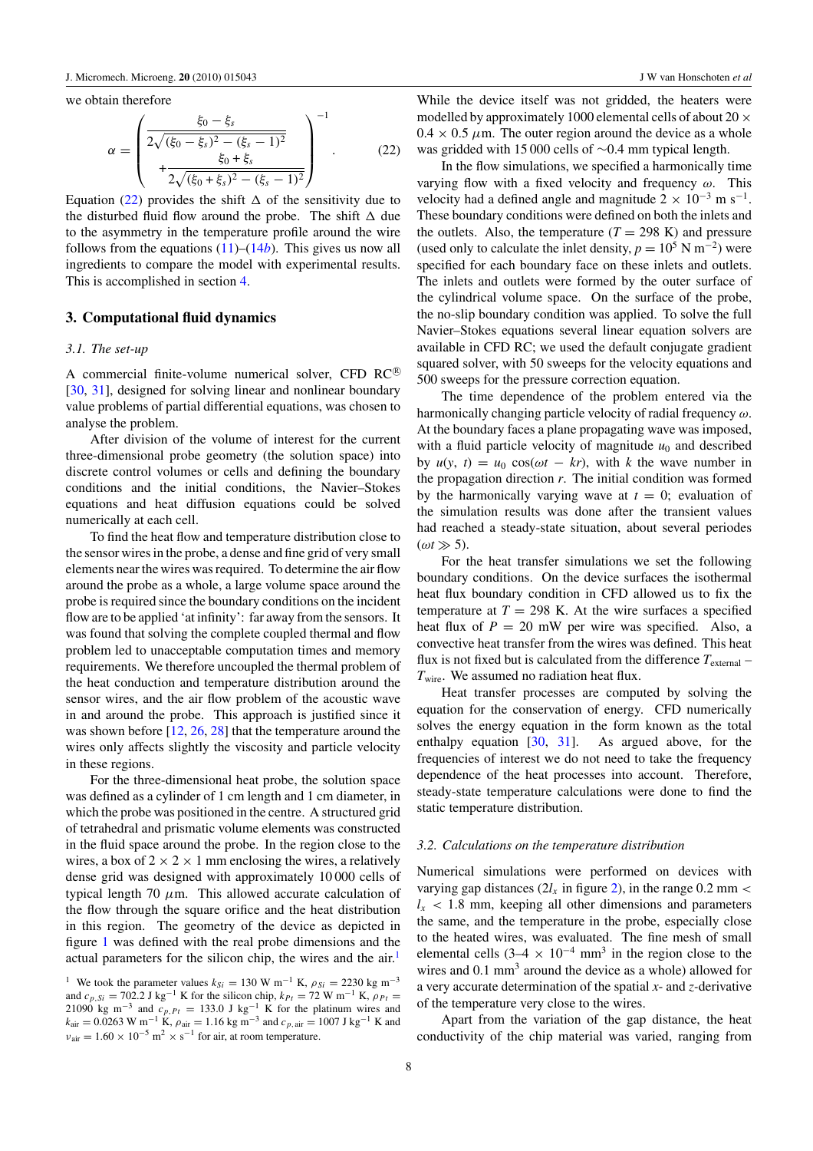<span id="page-8-0"></span>we obtain therefore

$$
\alpha = \begin{pmatrix} \frac{\xi_0 - \xi_s}{2\sqrt{(\xi_0 - \xi_s)^2 - (\xi_s - 1)^2}} \\ + \frac{\xi_0 + \xi_s}{2\sqrt{(\xi_0 + \xi_s)^2 - (\xi_s - 1)^2}} \end{pmatrix}^{-1}.
$$
 (22)

Equation (22) provides the shift  $\Delta$  of the sensitivity due to the disturbed fluid flow around the probe. The shift  $\Delta$  due to the asymmetry in the temperature profile around the wire follows from the equations [\(11\)](#page-5-0)–[\(14](#page-5-0)*b*). This gives us now all ingredients to compare the model with experimental results. This is accomplished in section [4.](#page-9-0)

#### **3. Computational fluid dynamics**

#### *3.1. The set-up*

A commercial finite-volume numerical solver, CFD  $RC^{\circledR}$ [\[30](#page-11-0), [31](#page-11-0)], designed for solving linear and nonlinear boundary value problems of partial differential equations, was chosen to analyse the problem.

After division of the volume of interest for the current three-dimensional probe geometry (the solution space) into discrete control volumes or cells and defining the boundary conditions and the initial conditions, the Navier–Stokes equations and heat diffusion equations could be solved numerically at each cell.

To find the heat flow and temperature distribution close to the sensor wires in the probe, a dense and fine grid of very small elements near the wires was required. To determine the air flow around the probe as a whole, a large volume space around the probe is required since the boundary conditions on the incident flow are to be applied 'at infinity': far away from the sensors. It was found that solving the complete coupled thermal and flow problem led to unacceptable computation times and memory requirements. We therefore uncoupled the thermal problem of the heat conduction and temperature distribution around the sensor wires, and the air flow problem of the acoustic wave in and around the probe. This approach is justified since it was shown before  $[12, 26, 28]$  $[12, 26, 28]$  $[12, 26, 28]$  $[12, 26, 28]$  $[12, 26, 28]$  $[12, 26, 28]$  that the temperature around the wires only affects slightly the viscosity and particle velocity in these regions.

For the three-dimensional heat probe, the solution space was defined as a cylinder of 1 cm length and 1 cm diameter, in which the probe was positioned in the centre. A structured grid of tetrahedral and prismatic volume elements was constructed in the fluid space around the probe. In the region close to the wires, a box of  $2 \times 2 \times 1$  mm enclosing the wires, a relatively dense grid was designed with approximately 10 000 cells of typical length 70  $\mu$ m. This allowed accurate calculation of the flow through the square orifice and the heat distribution in this region. The geometry of the device as depicted in figure [1](#page-2-0) was defined with the real probe dimensions and the actual parameters for the silicon chip, the wires and the air.<sup>1</sup>

While the device itself was not gridded, the heaters were modelled by approximately 1000 elemental cells of about 20  $\times$  $0.4 \times 0.5 \mu$ m. The outer region around the device as a whole was gridded with 15 000 cells of ∼0.4 mm typical length.

In the flow simulations, we specified a harmonically time varying flow with a fixed velocity and frequency *ω*. This velocity had a defined angle and magnitude  $2 \times 10^{-3}$  m s<sup>-1</sup>. These boundary conditions were defined on both the inlets and the outlets. Also, the temperature  $(T = 298 \text{ K})$  and pressure (used only to calculate the inlet density,  $p = 10^5$  N m<sup>-2</sup>) were specified for each boundary face on these inlets and outlets. The inlets and outlets were formed by the outer surface of the cylindrical volume space. On the surface of the probe, the no-slip boundary condition was applied. To solve the full Navier–Stokes equations several linear equation solvers are available in CFD RC; we used the default conjugate gradient squared solver, with 50 sweeps for the velocity equations and 500 sweeps for the pressure correction equation.

The time dependence of the problem entered via the harmonically changing particle velocity of radial frequency *ω*. At the boundary faces a plane propagating wave was imposed, with a fluid particle velocity of magnitude  $u_0$  and described by  $u(y, t) = u_0 \cos(\omega t - kr)$ , with *k* the wave number in the propagation direction *r*. The initial condition was formed by the harmonically varying wave at  $t = 0$ ; evaluation of the simulation results was done after the transient values had reached a steady-state situation, about several periodes  $(\omega t \gg 5)$ .

For the heat transfer simulations we set the following boundary conditions. On the device surfaces the isothermal heat flux boundary condition in CFD allowed us to fix the temperature at  $T = 298$  K. At the wire surfaces a specified heat flux of  $P = 20$  mW per wire was specified. Also, a convective heat transfer from the wires was defined. This heat flux is not fixed but is calculated from the difference  $T_{\text{external}}$  – *T*wire. We assumed no radiation heat flux.

Heat transfer processes are computed by solving the equation for the conservation of energy. CFD numerically solves the energy equation in the form known as the total enthalpy equation [\[30,](#page-11-0) [31](#page-11-0)]. As argued above, for the frequencies of interest we do not need to take the frequency dependence of the heat processes into account. Therefore, steady-state temperature calculations were done to find the static temperature distribution.

#### *3.2. Calculations on the temperature distribution*

Numerical simulations were performed on devices with varying gap distances  $(2l_x \text{ in figure 2})$ , in the range 0.2 mm <  $l_x$  < 1.8 mm, keeping all other dimensions and parameters the same, and the temperature in the probe, especially close to the heated wires, was evaluated. The fine mesh of small elemental cells (3–4  $\times$  10<sup>-4</sup> mm<sup>3</sup> in the region close to the wires and  $0.1 \text{ mm}^3$  around the device as a whole) allowed for a very accurate determination of the spatial *x*- and *z-*derivative of the temperature very close to the wires.

Apart from the variation of the gap distance, the heat conductivity of the chip material was varied, ranging from

<sup>&</sup>lt;sup>1</sup> We took the parameter values  $k_{Si} = 130 \text{ W m}^{-1} \text{ K}$ ,  $\rho_{Si} = 2230 \text{ kg m}^{-3}$ and  $c_{p,Si} = 702.2 \text{ J kg}^{-1} \text{ K}$  for the silicon chip,  $k_{Pt} = 72 \text{ W m}^{-1} \text{ K}$ ,  $\rho_{Pt} =$ 21090 kg m<sup>-3</sup> and  $c_{p,Pt} = 133.0 \text{ J kg}^{-1}$  K for the platinum wires and  $k_{\text{air}} = 0.0263 \text{ W m}^{-1} \text{ K}, \rho_{\text{air}} = 1.16 \text{ kg m}^{-3} \text{ and } c_{p,\text{air}} = 1007 \text{ J kg}^{-1} \text{ K and}$  $v_{\text{air}} = 1.60 \times 10^{-5} \text{ m}^2 \times \text{s}^{-1}$  for air, at room temperature.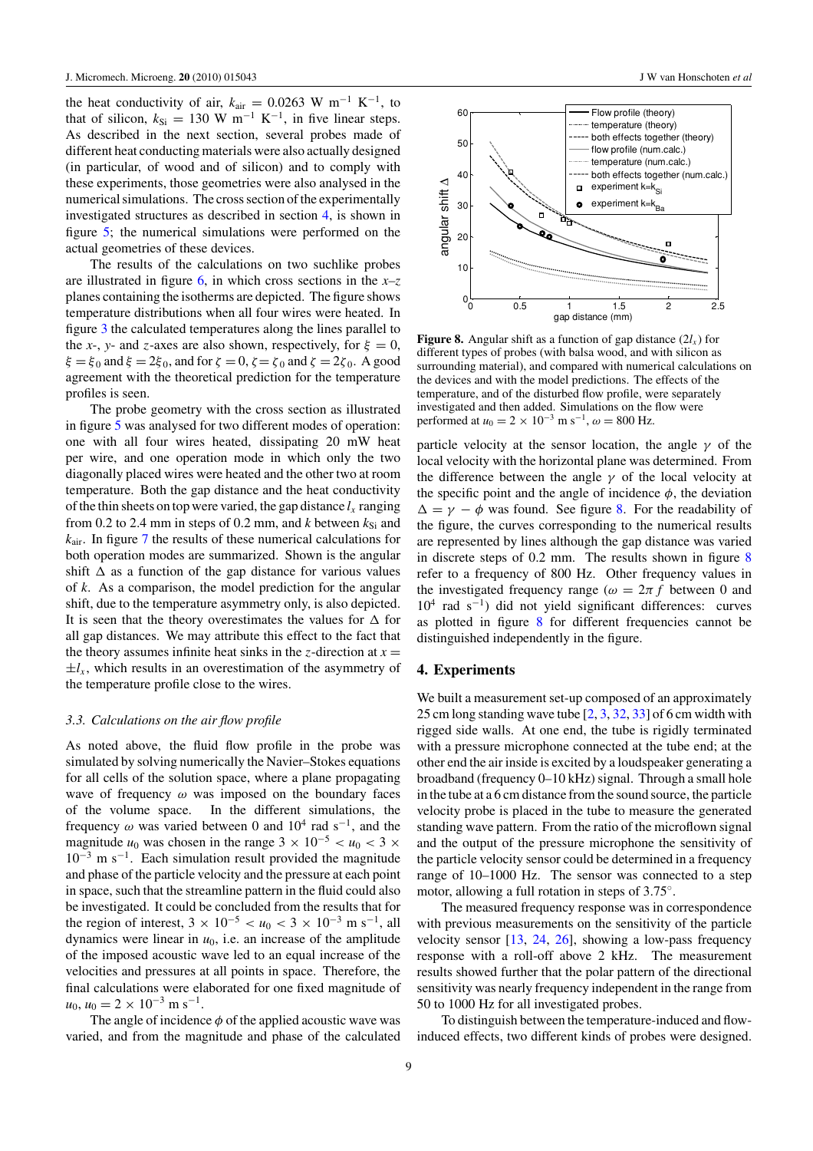<span id="page-9-0"></span>the heat conductivity of air,  $k_{\text{air}} = 0.0263 \text{ W m}^{-1} \text{ K}^{-1}$ , to that of silicon,  $k_{\text{Si}} = 130 \text{ W m}^{-1} \text{ K}^{-1}$ , in five linear steps. As described in the next section, several probes made of different heat conducting materials were also actually designed (in particular, of wood and of silicon) and to comply with these experiments, those geometries were also analysed in the numerical simulations. The cross section of the experimentally investigated structures as described in section 4, is shown in figure [5;](#page-6-0) the numerical simulations were performed on the actual geometries of these devices.

The results of the calculations on two suchlike probes are illustrated in figure [6,](#page-6-0) in which cross sections in the *x–z* planes containing the isotherms are depicted. The figure shows temperature distributions when all four wires were heated. In figure [3](#page-4-0) the calculated temperatures along the lines parallel to the *x*-, *y*- and *z*-axes are also shown, respectively, for  $\xi = 0$ , *ξ* = *ξ* <sup>0</sup> and *ξ* = 2*ξ* 0, and for *ζ* = 0, *ζ*= *ζ* <sup>0</sup> and *ζ* = 2*ζ* 0. A good agreement with the theoretical prediction for the temperature profiles is seen.

The probe geometry with the cross section as illustrated in figure [5](#page-6-0) was analysed for two different modes of operation: one with all four wires heated, dissipating 20 mW heat per wire, and one operation mode in which only the two diagonally placed wires were heated and the other two at room temperature. Both the gap distance and the heat conductivity of the thin sheets on top were varied, the gap distance  $l<sub>x</sub>$  ranging from 0.2 to 2.4 mm in steps of 0.2 mm, and  $k$  between  $k_{Si}$  and *k*air. In figure [7](#page-6-0) the results of these numerical calculations for both operation modes are summarized. Shown is the angular shift  $\Delta$  as a function of the gap distance for various values of *k*. As a comparison, the model prediction for the angular shift, due to the temperature asymmetry only, is also depicted. It is seen that the theory overestimates the values for  $\Delta$  for all gap distances. We may attribute this effect to the fact that the theory assumes infinite heat sinks in the *z*-direction at  $x =$  $\pm l_x$ , which results in an overestimation of the asymmetry of the temperature profile close to the wires.

#### *3.3. Calculations on the air flow profile*

As noted above, the fluid flow profile in the probe was simulated by solving numerically the Navier–Stokes equations for all cells of the solution space, where a plane propagating wave of frequency *ω* was imposed on the boundary faces of the volume space. In the different simulations, the frequency  $\omega$  was varied between 0 and 10<sup>4</sup> rad s<sup>-1</sup>, and the magnitude *u*<sub>0</sub> was chosen in the range  $3 \times 10^{-5} < u_0 < 3 \times$  $10^{-3}$  m s<sup>-1</sup>. Each simulation result provided the magnitude and phase of the particle velocity and the pressure at each point in space, such that the streamline pattern in the fluid could also be investigated. It could be concluded from the results that for the region of interest,  $3 \times 10^{-5} < u_0 < 3 \times 10^{-3}$  m s<sup>-1</sup>, all dynamics were linear in  $u_0$ , i.e. an increase of the amplitude of the imposed acoustic wave led to an equal increase of the velocities and pressures at all points in space. Therefore, the final calculations were elaborated for one fixed magnitude of  $u_0$ ,  $u_0 = 2 \times 10^{-3}$  m s<sup>-1</sup>.

The angle of incidence  $\phi$  of the applied acoustic wave was varied, and from the magnitude and phase of the calculated



**Figure 8.** Angular shift as a function of gap distance  $(2l_x)$  for different types of probes (with balsa wood, and with silicon as surrounding material), and compared with numerical calculations on the devices and with the model predictions. The effects of the temperature, and of the disturbed flow profile, were separately investigated and then added. Simulations on the flow were performed at  $u_0 = 2 \times 10^{-3}$  m s<sup>-1</sup>,  $\omega = 800$  Hz.

particle velocity at the sensor location, the angle *γ* of the local velocity with the horizontal plane was determined. From the difference between the angle  $\gamma$  of the local velocity at the specific point and the angle of incidence  $\phi$ , the deviation  $\Delta = \gamma - \phi$  was found. See figure 8. For the readability of the figure, the curves corresponding to the numerical results are represented by lines although the gap distance was varied in discrete steps of 0.2 mm. The results shown in figure 8 refer to a frequency of 800 Hz. Other frequency values in the investigated frequency range ( $\omega = 2\pi f$  between 0 and  $10^4$  rad s<sup>-1</sup>) did not yield significant differences: curves as plotted in figure 8 for different frequencies cannot be distinguished independently in the figure.

#### **4. Experiments**

We built a measurement set-up composed of an approximately 25 cm long standing wave tube [\[2,](#page-11-0) [3](#page-11-0), [32](#page-11-0), [33\]](#page-11-0) of 6 cm width with rigged side walls. At one end, the tube is rigidly terminated with a pressure microphone connected at the tube end; at the other end the air inside is excited by a loudspeaker generating a broadband (frequency 0–10 kHz) signal. Through a small hole in the tube at a 6 cm distance from the sound source, the particle velocity probe is placed in the tube to measure the generated standing wave pattern. From the ratio of the microflown signal and the output of the pressure microphone the sensitivity of the particle velocity sensor could be determined in a frequency range of 10–1000 Hz. The sensor was connected to a step motor, allowing a full rotation in steps of 3.75◦.

The measured frequency response was in correspondence with previous measurements on the sensitivity of the particle velocity sensor [\[13](#page-11-0), [24,](#page-11-0) [26](#page-11-0)], showing a low-pass frequency response with a roll-off above 2 kHz. The measurement results showed further that the polar pattern of the directional sensitivity was nearly frequency independent in the range from 50 to 1000 Hz for all investigated probes.

To distinguish between the temperature-induced and flowinduced effects, two different kinds of probes were designed.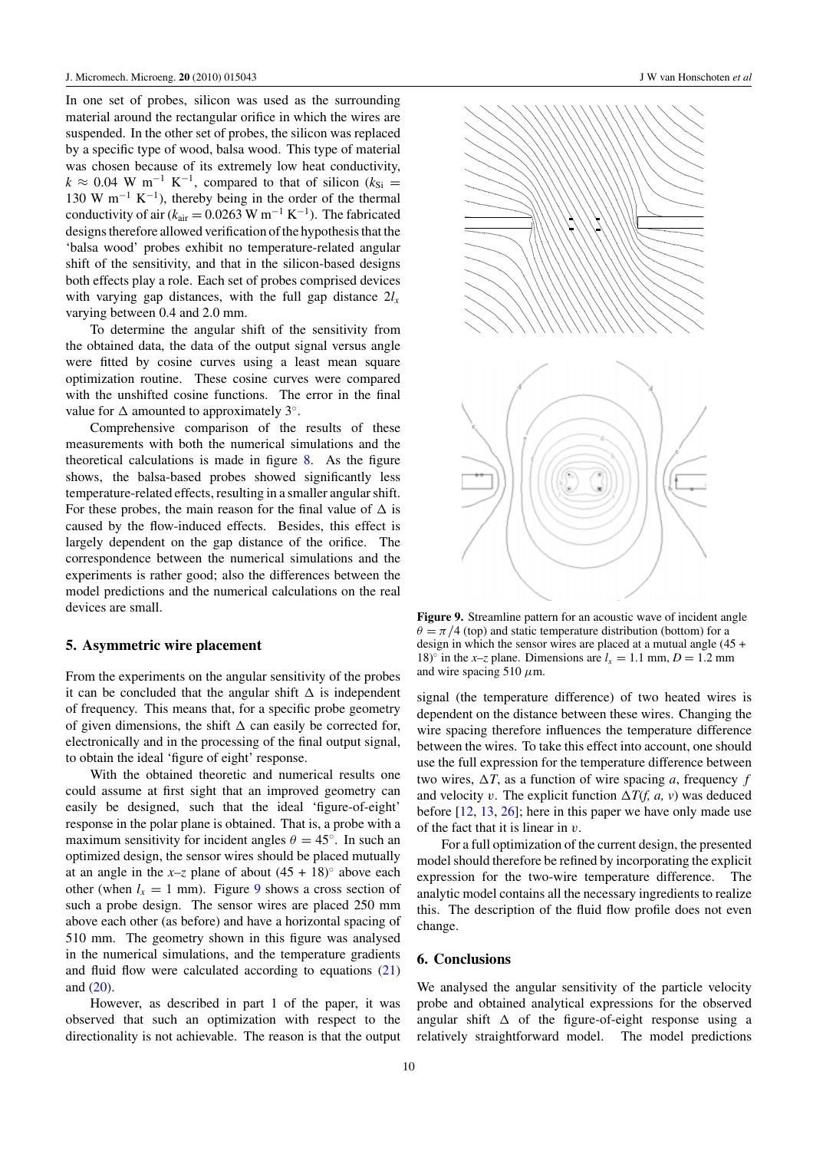In one set of probes, silicon was used as the surrounding material around the rectangular orifice in which the wires are suspended. In the other set of probes, the silicon was replaced by a specific type of wood, balsa wood. This type of material was chosen because of its extremely low heat conductivity,  $k \approx 0.04$  W m<sup>-1</sup> K<sup>-1</sup>, compared to that of silicon ( $k_{Si}$  = 130 W m<sup>-1</sup> K<sup>-1</sup>), thereby being in the order of the thermal conductivity of air ( $k_{\text{air}} = 0.0263 \text{ W m}^{-1} \text{ K}^{-1}$ ). The fabricated designs therefore allowed verification of the hypothesis that the 'balsa wood' probes exhibit no temperature-related angular shift of the sensitivity, and that in the silicon-based designs both effects play a role. Each set of probes comprised devices with varying gap distances, with the full gap distance  $2l<sub>x</sub>$ varying between 0.4 and 2.0 mm.

To determine the angular shift of the sensitivity from the obtained data, the data of the output signal versus angle were fitted by cosine curves using a least mean square optimization routine. These cosine curves were compared with the unshifted cosine functions. The error in the final value for  $\Delta$  amounted to approximately 3°.

Comprehensive comparison of the results of these measurements with both the numerical simulations and the theoretical calculations is made in figure [8.](#page-9-0) As the figure shows, the balsa-based probes showed significantly less temperature-related effects, resulting in a smaller angular shift. For these probes, the main reason for the final value of  $\Delta$  is caused by the flow-induced effects. Besides, this effect is largely dependent on the gap distance of the orifice. The correspondence between the numerical simulations and the experiments is rather good; also the differences between the model predictions and the numerical calculations on the real devices are small.

#### **5. Asymmetric wire placement**

From the experiments on the angular sensitivity of the probes it can be concluded that the angular shift  $\Delta$  is independent of frequency. This means that, for a specific probe geometry of given dimensions, the shift  $\Delta$  can easily be corrected for, electronically and in the processing of the final output signal, to obtain the ideal 'figure of eight' response.

With the obtained theoretic and numerical results one could assume at first sight that an improved geometry can easily be designed, such that the ideal 'figure-of-eight' response in the polar plane is obtained. That is, a probe with a maximum sensitivity for incident angles  $\theta = 45^\circ$ . In such an optimized design, the sensor wires should be placed mutually at an angle in the  $x-z$  plane of about  $(45 + 18)°$  above each other (when  $l_x = 1$  mm). Figure 9 shows a cross section of such a probe design. The sensor wires are placed 250 mm above each other (as before) and have a horizontal spacing of 510 mm. The geometry shown in this figure was analysed in the numerical simulations, and the temperature gradients and fluid flow were calculated according to equations [\(21\)](#page-7-0) and [\(20\)](#page-7-0).

However, as described in part 1 of the paper, it was observed that such an optimization with respect to the directionality is not achievable. The reason is that the output



**Figure 9.** Streamline pattern for an acoustic wave of incident angle  $\theta = \pi/4$  (top) and static temperature distribution (bottom) for a design in which the sensor wires are placed at a mutual angle (45 + 18)<sup> $\circ$ </sup> in the *x*-*z* plane. Dimensions are  $l_x = 1.1$  mm,  $D = 1.2$  mm and wire spacing 510 *μ*m.

signal (the temperature difference) of two heated wires is dependent on the distance between these wires. Changing the wire spacing therefore influences the temperature difference between the wires. To take this effect into account, one should use the full expression for the temperature difference between two wires,  $\Delta T$ , as a function of wire spacing *a*, frequency *f* and velocity *v*. The explicit function  $\Delta T(f, a, v)$  was deduced before [\[12](#page-11-0), [13,](#page-11-0) [26\]](#page-11-0); here in this paper we have only made use of the fact that it is linear in *v*.

For a full optimization of the current design, the presented model should therefore be refined by incorporating the explicit expression for the two-wire temperature difference. The analytic model contains all the necessary ingredients to realize this. The description of the fluid flow profile does not even change.

### **6. Conclusions**

We analysed the angular sensitivity of the particle velocity probe and obtained analytical expressions for the observed angular shift  $\Delta$  of the figure-of-eight response using a relatively straightforward model. The model predictions